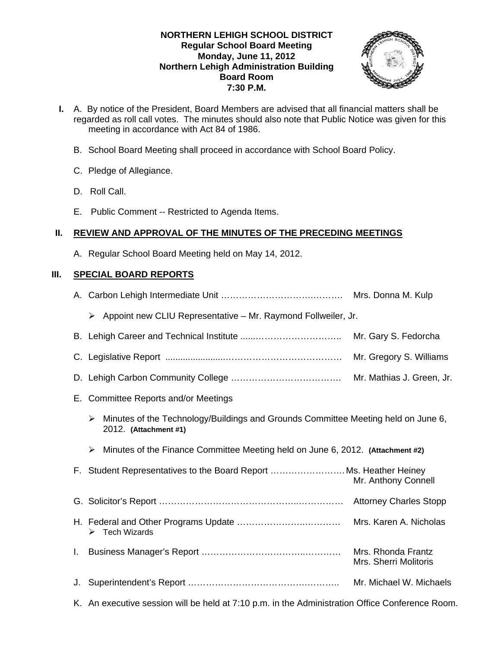#### **NORTHERN LEHIGH SCHOOL DISTRICT Regular School Board Meeting Monday, June 11, 2012 Northern Lehigh Administration Building Board Room 7:30 P.M.**



- **I.** A. By notice of the President, Board Members are advised that all financial matters shall be regarded as roll call votes. The minutes should also note that Public Notice was given for this meeting in accordance with Act 84 of 1986.
	- B. School Board Meeting shall proceed in accordance with School Board Policy.
	- C. Pledge of Allegiance.
	- D. Roll Call.
	- E. Public Comment -- Restricted to Agenda Items.

## **II. REVIEW AND APPROVAL OF THE MINUTES OF THE PRECEDING MEETINGS**

A. Regular School Board Meeting held on May 14, 2012.

# **III. SPECIAL BOARD REPORTS**

|    | Appoint new CLIU Representative - Mr. Raymond Follweiler, Jr.<br>➤                                              |                                             |
|----|-----------------------------------------------------------------------------------------------------------------|---------------------------------------------|
|    |                                                                                                                 | Mr. Gary S. Fedorcha                        |
|    |                                                                                                                 | Mr. Gregory S. Williams                     |
|    |                                                                                                                 | Mr. Mathias J. Green, Jr.                   |
|    | E. Committee Reports and/or Meetings                                                                            |                                             |
|    | Minutes of the Technology/Buildings and Grounds Committee Meeting held on June 6,<br>➤<br>2012. (Attachment #1) |                                             |
|    | Minutes of the Finance Committee Meeting held on June 6, 2012. (Attachment #2)<br>➤                             |                                             |
|    | F. Student Representatives to the Board Report Ms. Heather Heiney                                               | Mr. Anthony Connell                         |
|    |                                                                                                                 |                                             |
|    | $\triangleright$ Tech Wizards                                                                                   |                                             |
| L. |                                                                                                                 | Mrs. Rhonda Frantz<br>Mrs. Sherri Molitoris |
| J. |                                                                                                                 | Mr. Michael W. Michaels                     |
|    | K. An executive session will be held at 7:10 p.m. in the Administration Office Conference Room.                 |                                             |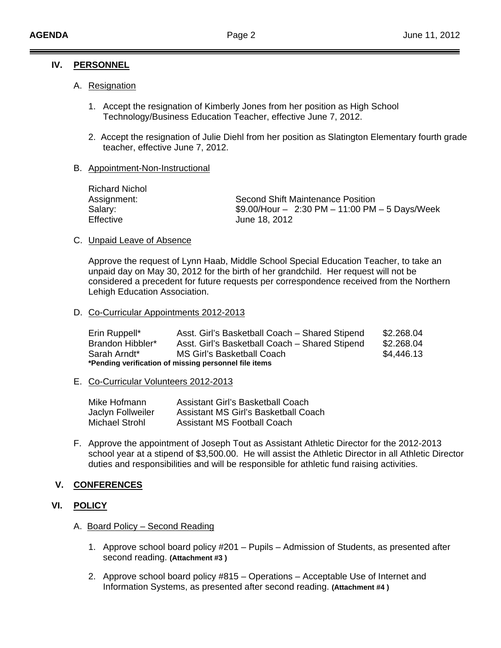#### **IV. PERSONNEL**

#### A. Resignation

- 1. Accept the resignation of Kimberly Jones from her position as High School Technology/Business Education Teacher, effective June 7, 2012.
- 2. Accept the resignation of Julie Diehl from her position as Slatington Elementary fourth grade teacher, effective June 7, 2012.

#### B. Appointment-Non-Instructional

| Richard Nichol<br>Second Shift Maintenance Position<br>Assignment:<br>$$9.00/H$ our - 2:30 PM - 11:00 PM - 5 Days/Week<br>Salary:<br>Effective<br>June 18, 2012 |
|-----------------------------------------------------------------------------------------------------------------------------------------------------------------|
|-----------------------------------------------------------------------------------------------------------------------------------------------------------------|

#### C. Unpaid Leave of Absence

 Approve the request of Lynn Haab, Middle School Special Education Teacher, to take an unpaid day on May 30, 2012 for the birth of her grandchild. Her request will not be considered a precedent for future requests per correspondence received from the Northern Lehigh Education Association.

D. Co-Curricular Appointments 2012-2013

| Erin Ruppell*                                         | Asst. Girl's Basketball Coach - Shared Stipend | \$2.268.04 |  |  |  |  |  |
|-------------------------------------------------------|------------------------------------------------|------------|--|--|--|--|--|
| Brandon Hibbler*                                      | Asst. Girl's Basketball Coach - Shared Stipend | \$2.268.04 |  |  |  |  |  |
| Sarah Arndt*                                          | MS Girl's Basketball Coach                     | \$4,446.13 |  |  |  |  |  |
| *Pending verification of missing personnel file items |                                                |            |  |  |  |  |  |

E. Co-Curricular Volunteers 2012-2013

| Mike Hofmann      | <b>Assistant Girl's Basketball Coach</b> |
|-------------------|------------------------------------------|
| Jaclyn Follweiler | Assistant MS Girl's Basketball Coach     |
| Michael Strohl    | <b>Assistant MS Football Coach</b>       |

F. Approve the appointment of Joseph Tout as Assistant Athletic Director for the 2012-2013 school year at a stipend of \$3,500.00. He will assist the Athletic Director in all Athletic Director duties and responsibilities and will be responsible for athletic fund raising activities.

## **V. CONFERENCES**

## **VI. POLICY**

- A. Board Policy Second Reading
	- 1. Approve school board policy #201 Pupils Admission of Students, as presented after second reading. **(Attachment #3 )**
	- 2. Approve school board policy #815 Operations Acceptable Use of Internet and Information Systems, as presented after second reading. **(Attachment #4 )**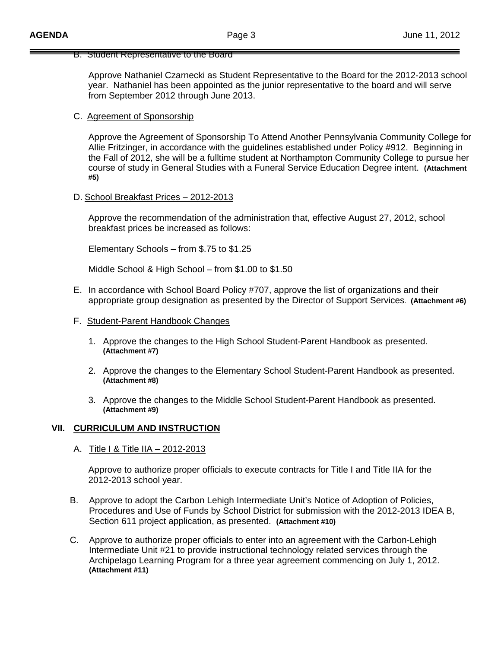#### B. Student Representative to the Board

 Approve Nathaniel Czarnecki as Student Representative to the Board for the 2012-2013 school year. Nathaniel has been appointed as the junior representative to the board and will serve from September 2012 through June 2013.

#### C. Agreement of Sponsorship

Approve the Agreement of Sponsorship To Attend Another Pennsylvania Community College for Allie Fritzinger, in accordance with the guidelines established under Policy #912. Beginning in the Fall of 2012, she will be a fulltime student at Northampton Community College to pursue her course of study in General Studies with a Funeral Service Education Degree intent. **(Attachment #5)** 

#### D. School Breakfast Prices – 2012-2013

 Approve the recommendation of the administration that, effective August 27, 2012, school breakfast prices be increased as follows:

Elementary Schools – from \$.75 to \$1.25

Middle School & High School – from \$1.00 to \$1.50

- E. In accordance with School Board Policy #707, approve the list of organizations and their appropriate group designation as presented by the Director of Support Services. **(Attachment #6)**
- F. Student-Parent Handbook Changes
	- 1. Approve the changes to the High School Student-Parent Handbook as presented. **(Attachment #7)**
	- 2. Approve the changes to the Elementary School Student-Parent Handbook as presented. **(Attachment #8)**
	- 3. Approve the changes to the Middle School Student-Parent Handbook as presented. **(Attachment #9)**

#### **VII. CURRICULUM AND INSTRUCTION**

A. Title I & Title IIA – 2012-2013

 Approve to authorize proper officials to execute contracts for Title I and Title IIA for the 2012-2013 school year.

- B. Approve to adopt the Carbon Lehigh Intermediate Unit's Notice of Adoption of Policies, Procedures and Use of Funds by School District for submission with the 2012-2013 IDEA B, Section 611 project application, as presented. **(Attachment #10)**
- C. Approve to authorize proper officials to enter into an agreement with the Carbon-Lehigh Intermediate Unit #21 to provide instructional technology related services through the Archipelago Learning Program for a three year agreement commencing on July 1, 2012. **(Attachment #11)**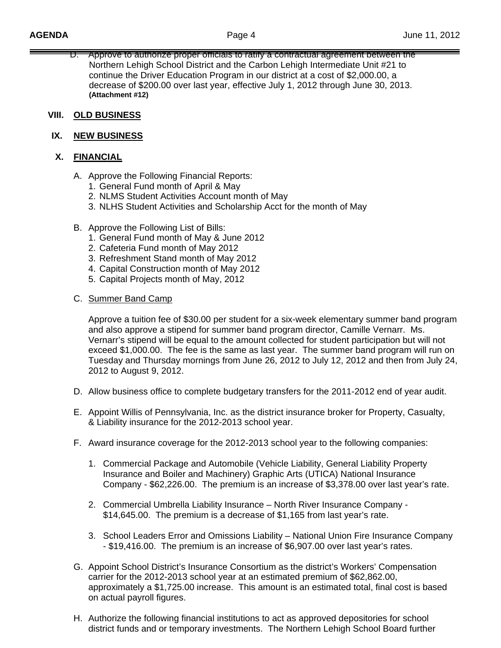D. Approve to authorize proper officials to ratify a contractual agreement between the Northern Lehigh School District and the Carbon Lehigh Intermediate Unit #21 to continue the Driver Education Program in our district at a cost of \$2,000.00, a decrease of \$200.00 over last year, effective July 1, 2012 through June 30, 2013. **(Attachment #12)**

#### **VIII. OLD BUSINESS**

#### **IX. NEW BUSINESS**

## **X. FINANCIAL**

- A. Approve the Following Financial Reports:
	- 1. General Fund month of April & May
	- 2. NLMS Student Activities Account month of May
	- 3. NLHS Student Activities and Scholarship Acct for the month of May
- B. Approve the Following List of Bills:
	- 1. General Fund month of May & June 2012
	- 2. Cafeteria Fund month of May 2012
	- 3. Refreshment Stand month of May 2012
	- 4. Capital Construction month of May 2012
	- 5. Capital Projects month of May, 2012
- C. Summer Band Camp

Approve a tuition fee of \$30.00 per student for a six-week elementary summer band program and also approve a stipend for summer band program director, Camille Vernarr. Ms. Vernarr's stipend will be equal to the amount collected for student participation but will not exceed \$1,000.00. The fee is the same as last year. The summer band program will run on Tuesday and Thursday mornings from June 26, 2012 to July 12, 2012 and then from July 24, 2012 to August 9, 2012.

- D. Allow business office to complete budgetary transfers for the 2011-2012 end of year audit.
- E. Appoint Willis of Pennsylvania, Inc. as the district insurance broker for Property, Casualty, & Liability insurance for the 2012-2013 school year.
- F. Award insurance coverage for the 2012-2013 school year to the following companies:
	- 1. Commercial Package and Automobile (Vehicle Liability, General Liability Property Insurance and Boiler and Machinery) Graphic Arts (UTICA) National Insurance Company - \$62,226.00. The premium is an increase of \$3,378.00 over last year's rate.
	- 2. Commercial Umbrella Liability Insurance North River Insurance Company \$14,645.00. The premium is a decrease of \$1,165 from last year's rate.
	- 3. School Leaders Error and Omissions Liability National Union Fire Insurance Company - \$19,416.00. The premium is an increase of \$6,907.00 over last year's rates.
- G. Appoint School District's Insurance Consortium as the district's Workers' Compensation carrier for the 2012-2013 school year at an estimated premium of \$62,862.00, approximately a \$1,725.00 increase. This amount is an estimated total, final cost is based on actual payroll figures.
- H. Authorize the following financial institutions to act as approved depositories for school district funds and or temporary investments. The Northern Lehigh School Board further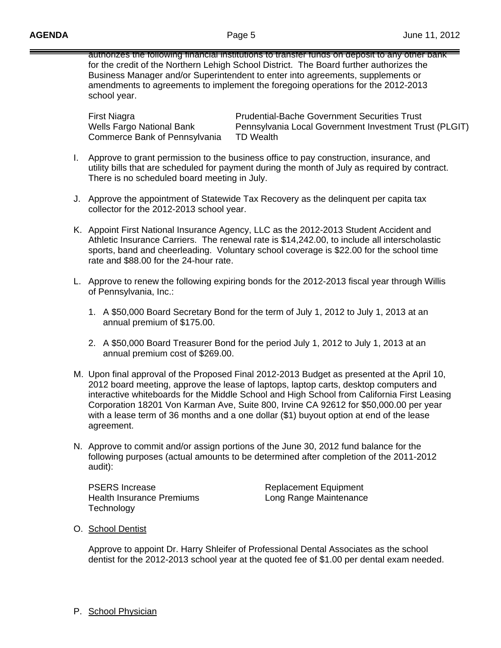authorizes the following financial institutions to transfer funds on deposit to any other bank for the credit of the Northern Lehigh School District. The Board further authorizes the Business Manager and/or Superintendent to enter into agreements, supplements or amendments to agreements to implement the foregoing operations for the 2012-2013 school year.

Commerce Bank of Pennsylvania TD Wealth

 First Niagra Prudential-Bache Government Securities Trust Wells Fargo National Bank **Pennsylvania Local Government Investment Trust (PLGIT)** 

- I. Approve to grant permission to the business office to pay construction, insurance, and utility bills that are scheduled for payment during the month of July as required by contract. There is no scheduled board meeting in July.
- J. Approve the appointment of Statewide Tax Recovery as the delinquent per capita tax collector for the 2012-2013 school year.
- K. Appoint First National Insurance Agency, LLC as the 2012-2013 Student Accident and Athletic Insurance Carriers. The renewal rate is \$14,242.00, to include all interscholastic sports, band and cheerleading. Voluntary school coverage is \$22.00 for the school time rate and \$88.00 for the 24-hour rate.
- L. Approve to renew the following expiring bonds for the 2012-2013 fiscal year through Willis of Pennsylvania, Inc.:
	- 1. A \$50,000 Board Secretary Bond for the term of July 1, 2012 to July 1, 2013 at an annual premium of \$175.00.
	- 2. A \$50,000 Board Treasurer Bond for the period July 1, 2012 to July 1, 2013 at an annual premium cost of \$269.00.
- M. Upon final approval of the Proposed Final 2012-2013 Budget as presented at the April 10, 2012 board meeting, approve the lease of laptops, laptop carts, desktop computers and interactive whiteboards for the Middle School and High School from California First Leasing Corporation 18201 Von Karman Ave, Suite 800, Irvine CA 92612 for \$50,000.00 per year with a lease term of 36 months and a one dollar (\$1) buyout option at end of the lease agreement.
- N. Approve to commit and/or assign portions of the June 30, 2012 fund balance for the following purposes (actual amounts to be determined after completion of the 2011-2012 audit):

PSERS Increase Replacement Equipment Health Insurance Premiums **Long Range Maintenance Technology** 

O. School Dentist

Approve to appoint Dr. Harry Shleifer of Professional Dental Associates as the school dentist for the 2012-2013 school year at the quoted fee of \$1.00 per dental exam needed.

P. School Physician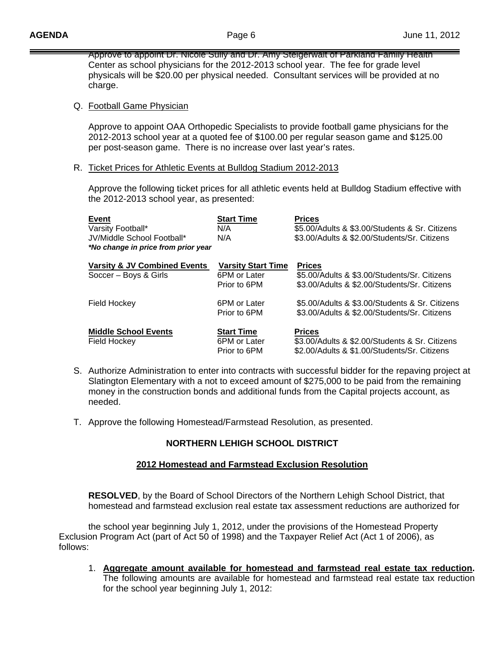Approve to appoint Dr. Nicole Sully and Dr. Amy Steigerwalt of Parkland Family Health Center as school physicians for the 2012-2013 school year. The fee for grade level physicals will be \$20.00 per physical needed. Consultant services will be provided at no charge.

#### Q. Football Game Physician

Approve to appoint OAA Orthopedic Specialists to provide football game physicians for the 2012-2013 school year at a quoted fee of \$100.00 per regular season game and \$125.00 per post-season game. There is no increase over last year's rates.

#### R. Ticket Prices for Athletic Events at Bulldog Stadium 2012-2013

 Approve the following ticket prices for all athletic events held at Bulldog Stadium effective with the 2012-2013 school year, as presented:

| <b>Event</b>                            | <b>Start Time</b>            | <b>Prices</b>                                                                                  |
|-----------------------------------------|------------------------------|------------------------------------------------------------------------------------------------|
| Varsity Football*                       | N/A                          | \$5.00/Adults & \$3.00/Students & Sr. Citizens                                                 |
| JV/Middle School Football*              | N/A                          | \$3.00/Adults & \$2.00/Students/Sr. Citizens                                                   |
| *No change in price from prior year     |                              |                                                                                                |
| <b>Varsity &amp; JV Combined Events</b> | <b>Varsity Start Time</b>    | <b>Prices</b>                                                                                  |
| Soccer – Boys & Girls                   | 6PM or Later                 | \$5.00/Adults & \$3.00/Students/Sr. Citizens                                                   |
|                                         | Prior to 6PM                 | \$3,00/Adults & \$2,00/Students/Sr. Citizens                                                   |
| Field Hockey                            | 6PM or Later                 | \$5.00/Adults & \$3.00/Students & Sr. Citizens                                                 |
|                                         | Prior to 6PM                 | \$3.00/Adults & \$2.00/Students/Sr. Citizens                                                   |
| <b>Middle School Events</b>             | <b>Start Time</b>            | <b>Prices</b>                                                                                  |
| Field Hockey                            | 6PM or Later<br>Prior to 6PM | \$3.00/Adults & \$2.00/Students & Sr. Citizens<br>\$2.00/Adults & \$1.00/Students/Sr. Citizens |
|                                         |                              |                                                                                                |

- S. Authorize Administration to enter into contracts with successful bidder for the repaving project at Slatington Elementary with a not to exceed amount of \$275,000 to be paid from the remaining money in the construction bonds and additional funds from the Capital projects account, as needed.
- T. Approve the following Homestead/Farmstead Resolution, as presented.

# **NORTHERN LEHIGH SCHOOL DISTRICT**

## **2012 Homestead and Farmstead Exclusion Resolution**

 **RESOLVED**, by the Board of School Directors of the Northern Lehigh School District, that homestead and farmstead exclusion real estate tax assessment reductions are authorized for

 the school year beginning July 1, 2012, under the provisions of the Homestead Property Exclusion Program Act (part of Act 50 of 1998) and the Taxpayer Relief Act (Act 1 of 2006), as follows:

1. **Aggregate amount available for homestead and farmstead real estate tax reduction.** The following amounts are available for homestead and farmstead real estate tax reduction for the school year beginning July 1, 2012: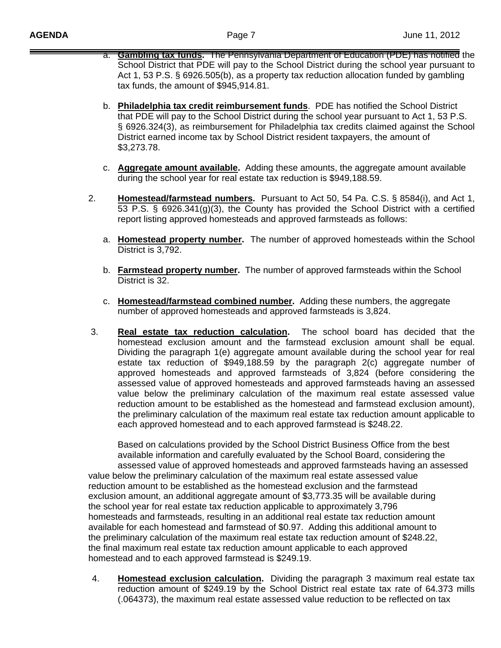- a. **Gambling tax funds.** The Pennsylvania Department of Education (PDE) has notified the School District that PDE will pay to the School District during the school year pursuant to Act 1, 53 P.S. § 6926.505(b), as a property tax reduction allocation funded by gambling tax funds, the amount of \$945,914.81.
- b. **Philadelphia tax credit reimbursement funds**. PDE has notified the School District that PDE will pay to the School District during the school year pursuant to Act 1, 53 P.S. § 6926.324(3), as reimbursement for Philadelphia tax credits claimed against the School District earned income tax by School District resident taxpayers, the amount of \$3,273.78.
- c. **Aggregate amount available.** Adding these amounts, the aggregate amount available during the school year for real estate tax reduction is \$949,188.59.
- 2. **Homestead/farmstead numbers.** Pursuant to Act 50, 54 Pa. C.S. § 8584(i), and Act 1, 53 P.S. § 6926.341(g)(3), the County has provided the School District with a certified report listing approved homesteads and approved farmsteads as follows:
	- a. **Homestead property number.** The number of approved homesteads within the School District is 3,792.
	- b. **Farmstead property number.** The number of approved farmsteads within the School District is 32.
	- c. **Homestead/farmstead combined number.** Adding these numbers, the aggregate number of approved homesteads and approved farmsteads is 3,824.
- 3. **Real estate tax reduction calculation.** The school board has decided that the homestead exclusion amount and the farmstead exclusion amount shall be equal. Dividing the paragraph 1(e) aggregate amount available during the school year for real estate tax reduction of \$949,188.59 by the paragraph 2(c) aggregate number of approved homesteads and approved farmsteads of 3,824 (before considering the assessed value of approved homesteads and approved farmsteads having an assessed value below the preliminary calculation of the maximum real estate assessed value reduction amount to be established as the homestead and farmstead exclusion amount), the preliminary calculation of the maximum real estate tax reduction amount applicable to each approved homestead and to each approved farmstead is \$248.22.

 Based on calculations provided by the School District Business Office from the best available information and carefully evaluated by the School Board, considering the assessed value of approved homesteads and approved farmsteads having an assessed value below the preliminary calculation of the maximum real estate assessed value reduction amount to be established as the homestead exclusion and the farmstead exclusion amount, an additional aggregate amount of \$3,773.35 will be available during the school year for real estate tax reduction applicable to approximately 3,796 homesteads and farmsteads, resulting in an additional real estate tax reduction amount available for each homestead and farmstead of \$0.97. Adding this additional amount to the preliminary calculation of the maximum real estate tax reduction amount of \$248.22, the final maximum real estate tax reduction amount applicable to each approved homestead and to each approved farmstead is \$249.19.

4. **Homestead exclusion calculation.** Dividing the paragraph 3 maximum real estate tax reduction amount of \$249.19 by the School District real estate tax rate of 64.373 mills (.064373), the maximum real estate assessed value reduction to be reflected on tax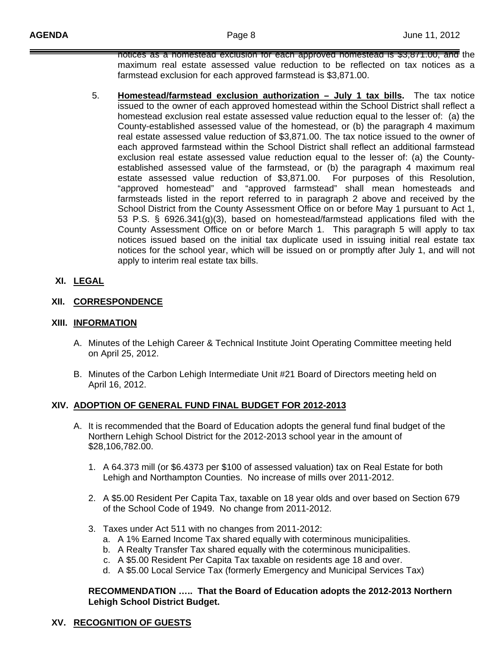notices as a homestead exclusion for each approved homestead is \$3,871.00, and the maximum real estate assessed value reduction to be reflected on tax notices as a farmstead exclusion for each approved farmstead is \$3,871.00.

5. **Homestead/farmstead exclusion authorization – July 1 tax bills.** The tax notice issued to the owner of each approved homestead within the School District shall reflect a homestead exclusion real estate assessed value reduction equal to the lesser of: (a) the County-established assessed value of the homestead, or (b) the paragraph 4 maximum real estate assessed value reduction of \$3,871.00. The tax notice issued to the owner of each approved farmstead within the School District shall reflect an additional farmstead exclusion real estate assessed value reduction equal to the lesser of: (a) the County established assessed value of the farmstead, or (b) the paragraph 4 maximum real estate assessed value reduction of \$3,871.00. For purposes of this Resolution, "approved homestead" and "approved farmstead" shall mean homesteads and farmsteads listed in the report referred to in paragraph 2 above and received by the School District from the County Assessment Office on or before May 1 pursuant to Act 1, 53 P.S. § 6926.341(g)(3), based on homestead/farmstead applications filed with the County Assessment Office on or before March 1. This paragraph 5 will apply to tax notices issued based on the initial tax duplicate used in issuing initial real estate tax notices for the school year, which will be issued on or promptly after July 1, and will not apply to interim real estate tax bills.

# **XI. LEGAL**

## **XII. CORRESPONDENCE**

#### **XIII. INFORMATION**

- A. Minutes of the Lehigh Career & Technical Institute Joint Operating Committee meeting held on April 25, 2012.
- B. Minutes of the Carbon Lehigh Intermediate Unit #21 Board of Directors meeting held on April 16, 2012.

## **XIV. ADOPTION OF GENERAL FUND FINAL BUDGET FOR 2012-2013**

- A. It is recommended that the Board of Education adopts the general fund final budget of the Northern Lehigh School District for the 2012-2013 school year in the amount of \$28,106,782.00.
	- 1. A 64.373 mill (or \$6.4373 per \$100 of assessed valuation) tax on Real Estate for both Lehigh and Northampton Counties. No increase of mills over 2011-2012.
	- 2. A \$5.00 Resident Per Capita Tax, taxable on 18 year olds and over based on Section 679 of the School Code of 1949. No change from 2011-2012.
	- 3. Taxes under Act 511 with no changes from 2011-2012:
		- a. A 1% Earned Income Tax shared equally with coterminous municipalities.
		- b. A Realty Transfer Tax shared equally with the coterminous municipalities.
		- c. A \$5.00 Resident Per Capita Tax taxable on residents age 18 and over.
		- d. A \$5.00 Local Service Tax (formerly Emergency and Municipal Services Tax)

#### **RECOMMENDATION ….. That the Board of Education adopts the 2012-2013 Northern Lehigh School District Budget.**

# **XV. RECOGNITION OF GUESTS**